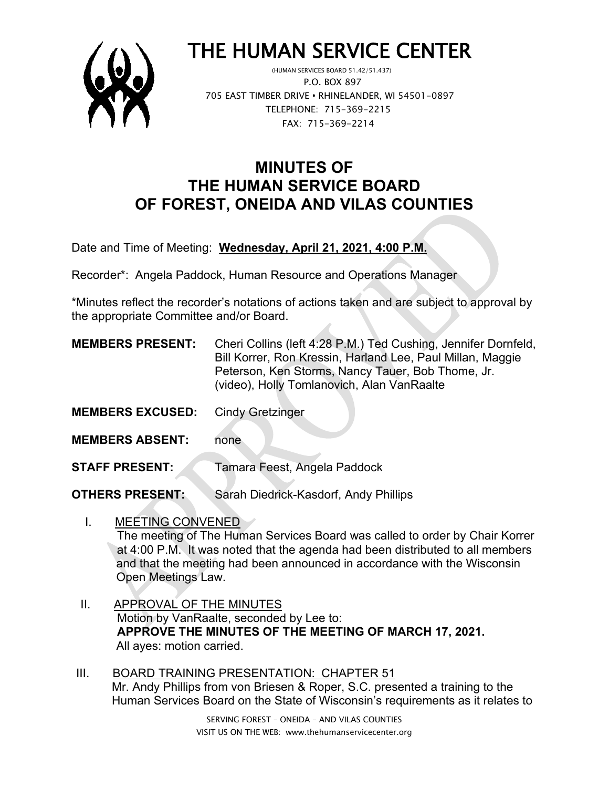

# THE HUMAN SERVICE CENTER (HUMAN SERVICES BOARD 51.42/51.437)

 P.O. BOX 897 705 EAST TIMBER DRIVE **•** RHINELANDER, WI 54501-0897 TELEPHONE: 715-369-2215 FAX: 715-369-2214

# **MINUTES OF THE HUMAN SERVICE BOARD OF FOREST, ONEIDA AND VILAS COUNTIES**

Date and Time of Meeting: **Wednesday, April 21, 2021, 4:00 P.M.**

Recorder\*: Angela Paddock, Human Resource and Operations Manager

\*Minutes reflect the recorder's notations of actions taken and are subject to approval by the appropriate Committee and/or Board.

| <b>MEMBERS PRESENT:</b> | Cheri Collins (left 4:28 P.M.) Ted Cushing, Jennifer Dornfeld, |
|-------------------------|----------------------------------------------------------------|
|                         | Bill Korrer, Ron Kressin, Harland Lee, Paul Millan, Maggie     |
|                         | Peterson, Ken Storms, Nancy Tauer, Bob Thome, Jr.              |
|                         | (video), Holly Tomlanovich, Alan VanRaalte                     |

**MEMBERS EXCUSED:** Cindy Gretzinger

**MEMBERS ABSENT:** none

**STAFF PRESENT:** Tamara Feest, Angela Paddock

**OTHERS PRESENT:** Sarah Diedrick-Kasdorf, Andy Phillips

- I. MEETING CONVENED The meeting of The Human Services Board was called to order by Chair Korrer at 4:00 P.M. It was noted that the agenda had been distributed to all members and that the meeting had been announced in accordance with the Wisconsin Open Meetings Law.
- II. APPROVAL OF THE MINUTES Motion by VanRaalte, seconded by Lee to: **APPROVE THE MINUTES OF THE MEETING OF MARCH 17, 2021.** All ayes: motion carried.
- III. BOARD TRAINING PRESENTATION: CHAPTER 51 Mr. Andy Phillips from von Briesen & Roper, S.C. presented a training to the Human Services Board on the State of Wisconsin's requirements as it relates to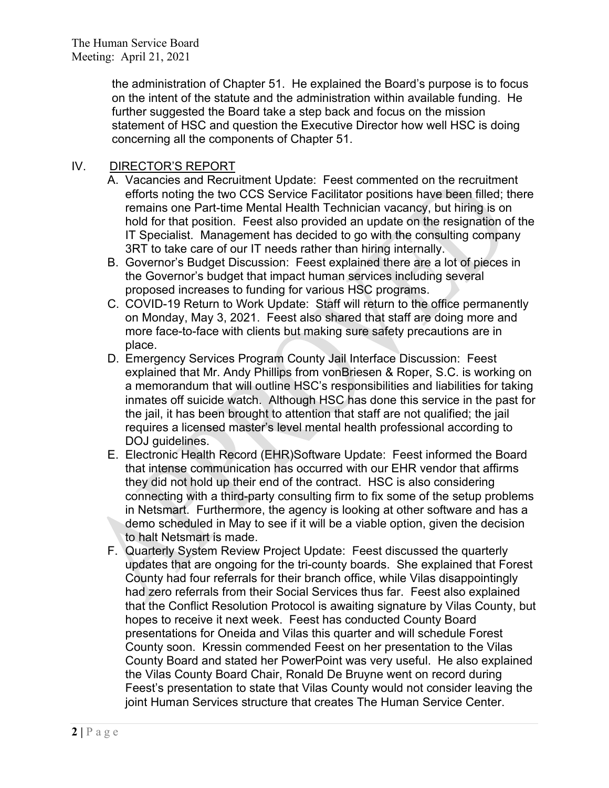the administration of Chapter 51. He explained the Board's purpose is to focus on the intent of the statute and the administration within available funding. He further suggested the Board take a step back and focus on the mission statement of HSC and question the Executive Director how well HSC is doing concerning all the components of Chapter 51.

### IV. DIRECTOR'S REPORT

- A. Vacancies and Recruitment Update: Feest commented on the recruitment efforts noting the two CCS Service Facilitator positions have been filled; there remains one Part-time Mental Health Technician vacancy, but hiring is on hold for that position. Feest also provided an update on the resignation of the IT Specialist. Management has decided to go with the consulting company 3RT to take care of our IT needs rather than hiring internally.
- B. Governor's Budget Discussion: Feest explained there are a lot of pieces in the Governor's budget that impact human services including several proposed increases to funding for various HSC programs.
- C. COVID-19 Return to Work Update: Staff will return to the office permanently on Monday, May 3, 2021. Feest also shared that staff are doing more and more face-to-face with clients but making sure safety precautions are in place.
- D. Emergency Services Program County Jail Interface Discussion: Feest explained that Mr. Andy Phillips from vonBriesen & Roper, S.C. is working on a memorandum that will outline HSC's responsibilities and liabilities for taking inmates off suicide watch. Although HSC has done this service in the past for the jail, it has been brought to attention that staff are not qualified; the jail requires a licensed master's level mental health professional according to DOJ guidelines.
- E. Electronic Health Record (EHR)Software Update: Feest informed the Board that intense communication has occurred with our EHR vendor that affirms they did not hold up their end of the contract. HSC is also considering connecting with a third-party consulting firm to fix some of the setup problems in Netsmart. Furthermore, the agency is looking at other software and has a demo scheduled in May to see if it will be a viable option, given the decision to halt Netsmart is made.
- F. Quarterly System Review Project Update: Feest discussed the quarterly updates that are ongoing for the tri-county boards. She explained that Forest County had four referrals for their branch office, while Vilas disappointingly had zero referrals from their Social Services thus far. Feest also explained that the Conflict Resolution Protocol is awaiting signature by Vilas County, but hopes to receive it next week. Feest has conducted County Board presentations for Oneida and Vilas this quarter and will schedule Forest County soon. Kressin commended Feest on her presentation to the Vilas County Board and stated her PowerPoint was very useful. He also explained the Vilas County Board Chair, Ronald De Bruyne went on record during Feest's presentation to state that Vilas County would not consider leaving the joint Human Services structure that creates The Human Service Center.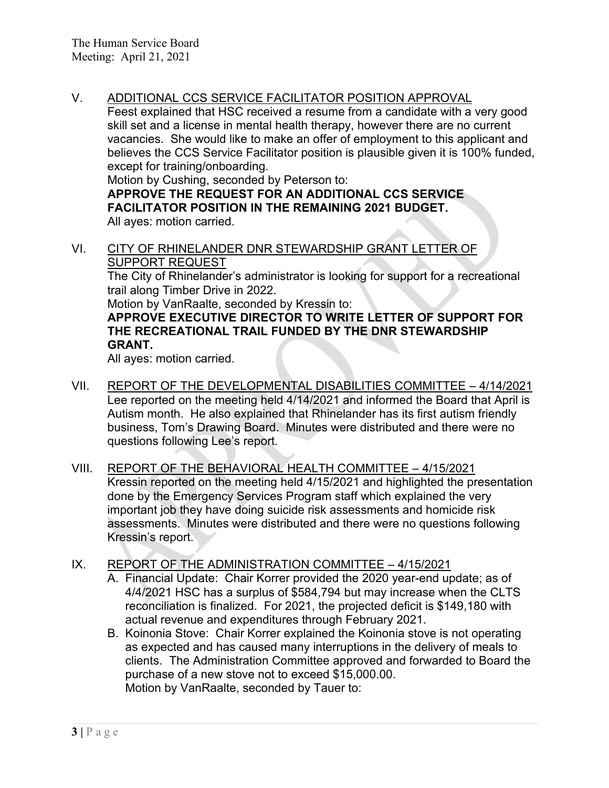V. ADDITIONAL CCS SERVICE FACILITATOR POSITION APPROVAL

Feest explained that HSC received a resume from a candidate with a very good skill set and a license in mental health therapy, however there are no current vacancies. She would like to make an offer of employment to this applicant and believes the CCS Service Facilitator position is plausible given it is 100% funded, except for training/onboarding.

Motion by Cushing, seconded by Peterson to:

**APPROVE THE REQUEST FOR AN ADDITIONAL CCS SERVICE FACILITATOR POSITION IN THE REMAINING 2021 BUDGET.** All ayes: motion carried.

VI. CITY OF RHINELANDER DNR STEWARDSHIP GRANT LETTER OF

SUPPORT REQUEST The City of Rhinelander's administrator is looking for support for a recreational trail along Timber Drive in 2022. Motion by VanRaalte, seconded by Kressin to: **APPROVE EXECUTIVE DIRECTOR TO WRITE LETTER OF SUPPORT FOR THE RECREATIONAL TRAIL FUNDED BY THE DNR STEWARDSHIP** 

**GRANT.**

All ayes: motion carried.

- VII. REPORT OF THE DEVELOPMENTAL DISABILITIES COMMITTEE 4/14/2021 Lee reported on the meeting held 4/14/2021 and informed the Board that April is Autism month. He also explained that Rhinelander has its first autism friendly business, Tom's Drawing Board. Minutes were distributed and there were no questions following Lee's report.
- VIII. REPORT OF THE BEHAVIORAL HEALTH COMMITTEE 4/15/2021 Kressin reported on the meeting held 4/15/2021 and highlighted the presentation done by the Emergency Services Program staff which explained the very important job they have doing suicide risk assessments and homicide risk assessments. Minutes were distributed and there were no questions following Kressin's report.

## IX. REPORT OF THE ADMINISTRATION COMMITTEE – 4/15/2021

- A. Financial Update: Chair Korrer provided the 2020 year-end update; as of 4/4/2021 HSC has a surplus of \$584,794 but may increase when the CLTS reconciliation is finalized. For 2021, the projected deficit is \$149,180 with actual revenue and expenditures through February 2021.
- B. Koinonia Stove: Chair Korrer explained the Koinonia stove is not operating as expected and has caused many interruptions in the delivery of meals to clients. The Administration Committee approved and forwarded to Board the purchase of a new stove not to exceed \$15,000.00. Motion by VanRaalte, seconded by Tauer to: